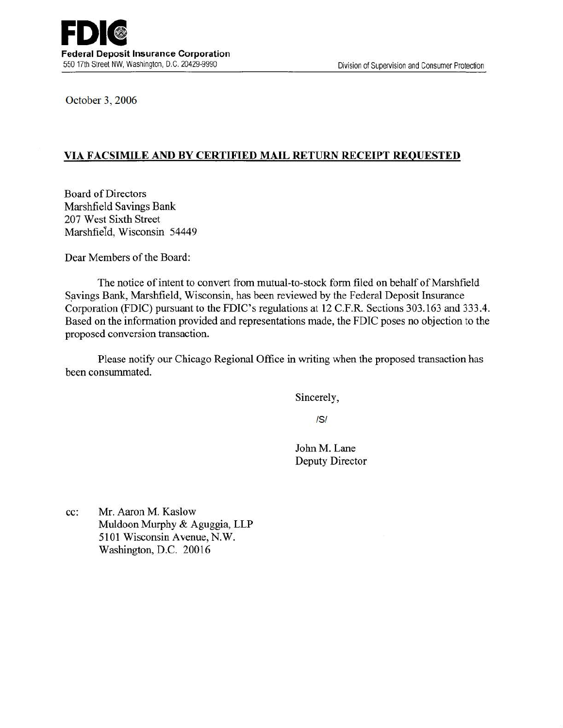October 3, 2006

## VIA FACSIMILE AND BY CERTIFIED MAIL RETURN RECEIPT REQUESTED

Board of Directors Marshfield Savings Bank 207 West Sixth Street Marshfield, Wisconsin 54449

Dear Members of the Board:

The notice of intent to convert from mutual-to-stock form filed on behalf of Marshfield Savings Bank, Marshfield, Wisconsin, has been reviewed by the Federal Deposit Insurance Corporation (FDIC) pursuant to the FDIC's regulations at 12 C.F .R. Sections 303.163 and 333.4. Based on the information provided and representations made, the FDIC poses no objection to the proposed conversion transaction.

Please notify our Chicago Regional Office in writing when the proposed transaction has been consummated.

Sincerely,

/S/

John M. Lane Deputy Director

cc: Mr. Aaron M. Kaslow Muldoon Murphy & Aguggia, LLP 5101 Wisconsin Avenue, N.W. Washington, D.C. 20016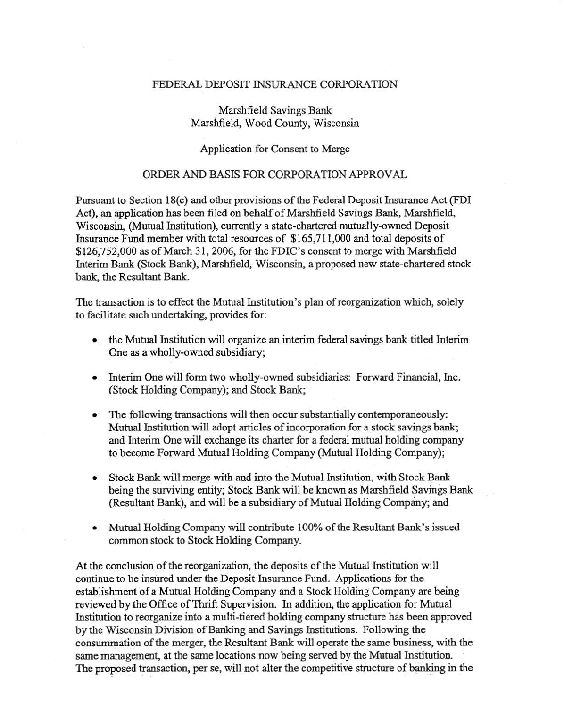## FEDERAL DEPOSIT INSURANCE CORPORATION

Marshfield Savings Bank Marshfield, Wood County, Wisconsin

## Application for Consent to Merge

## ORDER AND BASIS FOR CORPORATION APPROVAL

Pursuant to Section 18(c) and other provisions of the Federal Deposit Insurance Act (FDI Act), an application has been filed on behalf of Marshfield Savings Bank, Marshfield, Wisconsin, (Mutual Institution), currently a state-chartered mutually-owned Deposit Insurance Fund member with total resources of \$165,711,000 and total deposits of \$126,752,000 as of March 31, 2006, for the FDIC's consent to merge with Marshfield Interim Bank (Stock Bank), Marshfield, Wisconsin, a proposed new state-chartered stock bank, the Resultant Bank.

The transaction is to effect the Mutual Institution's plan of reorganization which, solely to facilitate such undertaking, provides for:

- the Mutual Institution will organize an interim federal savings bank titled Interim One as a wholly-oWned subsidiary;
- Interim One will form two wholly-owned subsidiaries: Forward Financial, Inc. (Stock Holding Company); and Stock Bank;
- The following transactions will then occur substantially contemporaneously: Mutual Institution will adopt articles of incorporation for a stock savings bank; and Interim One will exchange its charter for a federal mutual holding company to become Forward Mutual Holding Company (Mutual Holding Company);
- Stock Bank will merge with and into the Mutual Institution, with Stock Bank being the surviving entity; Stock Bank will be known as Marshfield Savings Bank (Resultant Bank), and will be a subsidiary of Mutual Holding Company; and
- Mutual Holding Company will contribute 100% of the Resultant Bank's issued common stock to Stock Holding Company.

At the conclusion of the reorganization, the deposits of the Mutual Institution will continue to be insured under the Deposit Insurance Fund. Applications for the establishment of a Mutual Holding Company and a Stock Holding Company are being reviewed by the Office of Thrift Supervision. In addition, the application for Mutual Institution to reorganize into a multi-tiered holding company structure has been approved by the Wisconsin Division of Banking and Savings Institutions. Following the consummation of the merger, the Resultant Bank will operate the same business, with the same management, at the same locations now being served by the Mutual Institution. The proposed transaction, per se, will not alter the competitive structure of banking in the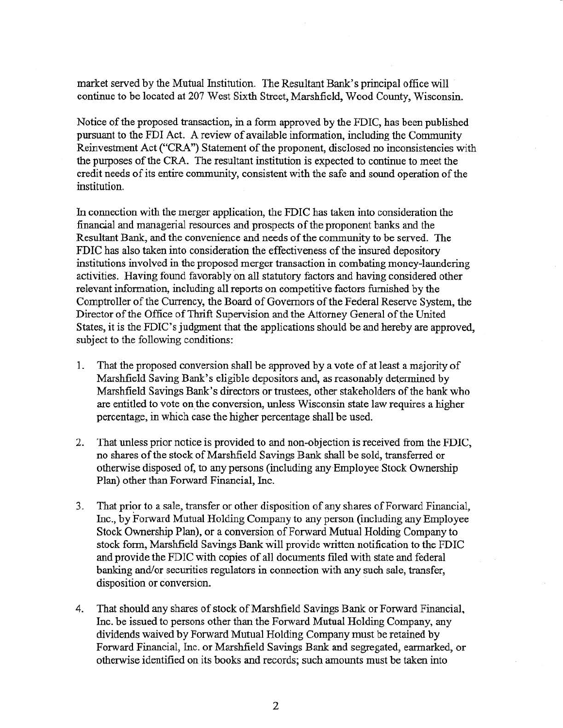market served by the Mutual Institution. The Resultant Bank's principal office will continue to be located at 207 West Sixth Street, Marshfield, Wood County, Wisconsin.

Notice of the proposed transaction, in a form approved by the FDIC, has been published pursuant to the FDI Act. A review of available information, including the Community Reinvestment Act ("CRA") Statement of the proponent, disclosed no inconsistencies with the purposes of the CRA. The resultant institution is expected to continue to meet the credit needs of its entire community, consistent with the safe and sound operation of the institution.

In connection with the merger application, the FDIC has taken into consideration the financial and managerial resources and prospects of the proponent banks and the Resultant Bank, and the convenience and needs of the community to be served. The FDIC has also taken into consideration the effectiveness of the insured depository institutions involved in the proposed merger transaction in combating money-laundering activities. Having found favorably on all statutory factors and having considered other relevant information, including all reports on competitive factors furnished by the Comptroller of the Currency, the Board of Governors of the Federal Reserve System, the Director of the Office of Thrift Supervision and the Attorney General of the United States, it is the FDIC's judgment that the applications should be and hereby are approved, subject to the following conditions:

- 1. That the proposed conversion shall be approved by a vote of at least a majority of Marshfield Saving Bank's eligible depositors and, as reasonably determined by Marshfield Savings Bank's directors or trustees, other stakeholders of the bank who are entitled to vote on the conversion, unless Wisconsin state law requires a higher percentage, in which case the higher percentage shall be used.
- 2. That unless prior notice is provided to and non-objection is received from the FDIC, no shares of the stock of Marshfield Savings Bank shall be sold, transferred or otherwise disposed of, to any persons (including any Employee Stock Ownership Plan) other than Forward Financial, Inc.
- 3. That prior to a sale, transfer or other disposition of any shares of Forward Financial, Inc., by Forward Mutual Holding Company to any person (including any Employee Stock Ownership Plan), or a conversion of Forward Mutual Holding Company to stock form, Marshfield Savings Bank Will provide written notification to the FDIC and provide the FDIC with copies of all documents filed with state and federal banking and/or securities regulators in connection with any such sale, transfer, disposition or conversion.
- 4. That should any shares of stock of Marshfield Savings Bank or Forward Financial, Inc. be issued to persons other than the Forward Mutual Holding Company, any dividends waived by Forward Mutual Holding Company must be retained by Forward Financial, Inc. or Marshfield Savings Bank and segregated, earmarked, or otherwise identified on its books and records; such amounts must be taken into